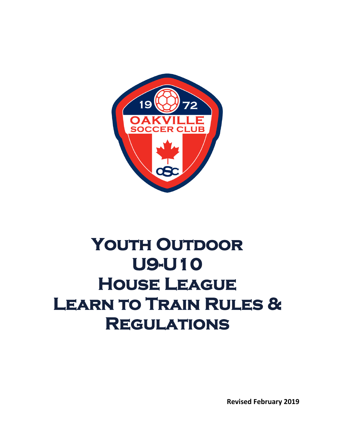

# YOUTH OUTDOOR **U9-U10 House League Learn to Train Rules & Regulations**

**Revised February 2019**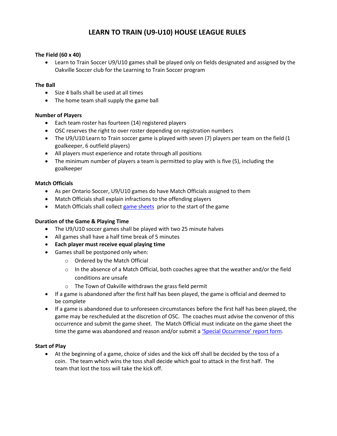# **LEARN TO TRAIN (U9-U10) HOUSE LEAGUE RULES**

#### **The Field (60 x 40)**

• Learn to Train Soccer U9/U10 games shall be played only on fields designated and assigned by the Oakville Soccer club for the Learning to Train Soccer program

#### **The Ball**

- Size 4 balls shall be used at all times
- The home team shall supply the game ball

# **Number of Players**

- Each team roster has fourteen (14) registered players
- OSC reserves the right to over roster depending on registration numbers
- The U9/U10 Learn to Train soccer game is played with seven (7) players per team on the field (1 goalkeeper, 6 outfield players)
- All players must experience and rotate through all positions
- The minimum number of players a team is permitted to play with is five (5), including the goalkeeper

# **Match Officials**

- As per Ontario Soccer, U9/U10 games do have Match Officials assigned to them
- Match Officials shall explain infractions to the offending players
- Match Officials shall collect [game sheets](https://www.oakvillesoccer.ca/images/publications/2018/yhl/u7-u18-game-sheet.pdf) prior to the start of the game

#### **Duration of the Game & Playing Time**

- The U9/U10 soccer games shall be played with two 25 minute halves
- All games shall have a half time break of 5 minutes
- **Each player must receive equal playing time**
- Games shall be postponed only when:
	- o Ordered by the Match Official
	- o In the absence of a Match Official, both coaches agree that the weather and/or the field conditions are unsafe
	- o The Town of Oakville withdraws the grass field permit
- If a game is abandoned after the first half has been played, the game is official and deemed to be complete
- If a game is abandoned due to unforeseen circumstances before the first half has been played, the game may be rescheduled at the discretion of OSC. The coaches must advise the convenor of this occurrence and submit the game sheet. The Match Official must indicate on the game sheet the time the game was abandoned and reason and/or submit a 'Special [Occurrence'](http://www.oakvillesoccer.ca/images/publications/2016/club-info/org-policies/osc-serious-occurrence-report-form-2016.pdf) report form.

#### **Start of Play**

• At the beginning of a game, choice of sides and the kick off shall be decided by the toss of a coin. The team which wins the toss shall decide which goal to attack in the first half. The team that lost the toss will take the kick off.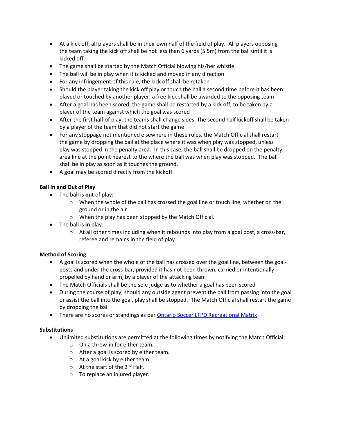- At a kick off, all players shall be in their own half of the field of play. All players opposing the team taking the kick off shall be not less than 6 yards (5.5m) from the ball until it is kicked off.
- The game shall be started by the Match Official blowing his/her whistle
- The ball will be in play when it is kicked and moved in any direction
- For any infringement of this rule, the kick off shall be retaken
- Should the player taking the kick off play or touch the ball a second time before it has been played or touched by another player, a free kick shall be awarded to the opposing team
- After a goal has been scored, the game shall be restarted by a kick off, to be taken by a player of the team against which the goal was scored
- After the first half of play, the teams shall change sides. The second half kickoff shall be taken by a player of the team that did not start the game
- For any stoppage not mentioned elsewhere in these rules, the Match Official shall restart the game by dropping the ball at the place where it was when play was stopped, unless play was stopped in the penalty area. In this case, the ball shall be dropped on the penaltyarea line at the point nearest to the where the ball was when play was stopped. The ball shall be in play as soon as it touches the ground.
- A goal may be scored directly from the kickoff

# **Ball In and Out of Play**

- The ball is **out** of play:
	- o When the whole of the ball has crossed the goal line or touch line, whether on the ground or in the air
	- o When the play has been stopped by the Match Official.
- The ball is **in** play:
	- $\circ$  At all other times including when it rebounds into play from a goal post, a cross-bar, referee and remains in the field of play

# **Method of Scoring**

- A goal is scored when the whole of the ball has crossed over the goal line, between the goalposts and under the cross-bar, provided it has not been thrown, carried or intentionally propelled by hand or arm, by a player of the attacking team
- The Match Officials shall be the sole judge as to whether a goal has been scored
- During the course of play, should any outside agent prevent the ball from passing into the goal or assist the ball into the goal, play shall be stopped. The Match Official shall restart the game by dropping the ball
- There are no scores or standings as per [Ontario Soccer LTPD Recreational Matrix](https://cdn4.sportngin.com/attachments/document/0112/8095/Recreational_MATRIX_Outdoor_Feb232018.pdf?_ga=2.266997710.1305206003.1552077410-460855530.1550158881)

# **Substitutions**

- Unlimited substitutions are permitted at the following times by notifying the Match Official:
	- o On a throw-in for either team.
	- o After a goal is scored by either team.
	- o At a goal kick by either team.
	- $\circ$  At the start of the 2<sup>nd</sup> Half.
	- o To replace an injured player.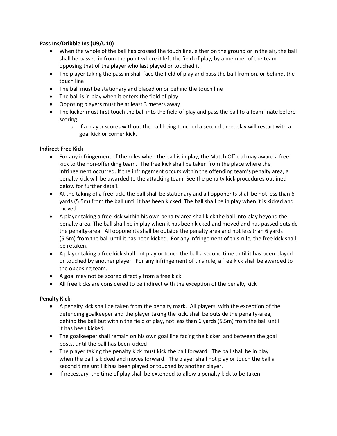# **Pass Ins/Dribble Ins (U9/U10)**

- When the whole of the ball has crossed the touch line, either on the ground or in the air, the ball shall be passed in from the point where it left the field of play, by a member of the team opposing that of the player who last played or touched it.
- The player taking the pass in shall face the field of play and pass the ball from on, or behind, the touch line
- The ball must be stationary and placed on or behind the touch line
- The ball is in play when it enters the field of play
- Opposing players must be at least 3 meters away
- The kicker must first touch the ball into the field of play and pass the ball to a team-mate before scoring
	- $\circ$  If a player scores without the ball being touched a second time, play will restart with a goal kick or corner kick.

# **Indirect Free Kick**

- For any infringement of the rules when the ball is in play, the Match Official may award a free kick to the non-offending team. The free kick shall be taken from the place where the infringement occurred. If the infringement occurs within the offending team's penalty area, a penalty kick will be awarded to the attacking team. See the penalty kick procedures outlined below for further detail.
- At the taking of a free kick, the ball shall be stationary and all opponents shall be not less than 6 yards (5.5m) from the ball until it has been kicked. The ball shall be in play when it is kicked and moved.
- A player taking a free kick within his own penalty area shall kick the ball into play beyond the penalty area. The ball shall be in play when it has been kicked and moved and has passed outside the penalty-area. All opponents shall be outside the penalty area and not less than 6 yards (5.5m) from the ball until it has been kicked. For any infringement of this rule, the free kick shall be retaken.
- A player taking a free kick shall not play or touch the ball a second time until it has been played or touched by another player. For any infringement of this rule, a free kick shall be awarded to the opposing team.
- A goal may not be scored directly from a free kick
- All free kicks are considered to be indirect with the exception of the penalty kick

#### **Penalty Kick**

- A penalty kick shall be taken from the penalty mark. All players, with the exception of the defending goalkeeper and the player taking the kick, shall be outside the penalty-area, behind the ball but within the field of play, not less than 6 yards (5.5m) from the ball until it has been kicked.
- The goalkeeper shall remain on his own goal line facing the kicker, and between the goal posts, until the ball has been kicked
- The player taking the penalty kick must kick the ball forward. The ball shall be in play when the ball is kicked and moves forward. The player shall not play or touch the ball a second time until it has been played or touched by another player.
- If necessary, the time of play shall be extended to allow a penalty kick to be taken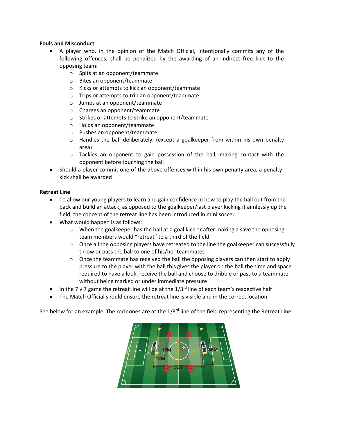#### **Fouls and Misconduct**

- A player who, in the opinion of the Match Official, intentionally commits any of the following offences, shall be penalized by the awarding of an indirect free kick to the opposing team:
	- o Spits at an opponent/teammate
	- o Bites an opponent/teammate
	- o Kicks or attempts to kick an opponent/teammate
	- o Trips or attempts to trip an opponent/teammate
	- o Jumps at an opponent/teammate
	- o Charges an opponent/teammate
	- o Strikes or attempts to strike an opponent/teammate
	- o Holds an opponent/teammate
	- o Pushes an opponent/teammate
	- $\circ$  Handles the ball deliberately, (except a goalkeeper from within his own penalty area)
	- $\circ$  Tackles an opponent to gain possession of the ball, making contact with the opponent before touching the ball
- Should a player commit one of the above offences within his own penalty area, a penaltykick shall be awarded

#### **Retreat Line**

- To allow our young players to learn and gain confidence in how to play the ball out from the back and build an attack, as opposed to the goalkeeper/last player kicking it aimlessly up the field, the concept of the retreat line has been introduced in mini soccer.
- What would happen is as follows:
	- $\circ$  When the goalkeeper has the ball at a goal kick or after making a save the opposing team members would "retreat" to a third of the field
	- o Once all the opposing players have retreated to the line the goalkeeper can successfully throw or pass the ball to one of his/her teammates
	- o Once the teammate has received the ball the opposing players can then start to apply pressure to the player with the ball this gives the player on the ball the time and space required to have a look, receive the ball and choose to dribble or pass to a teammate without being marked or under immediate pressure
- In the 7 v 7 game the retreat line will be at the  $1/3^{rd}$  line of each team's respective half
- The Match Official should ensure the retreat line is visible and in the correct location

See below for an example. The red cones are at the  $1/3<sup>rd</sup>$  line of the field representing the Retreat Line

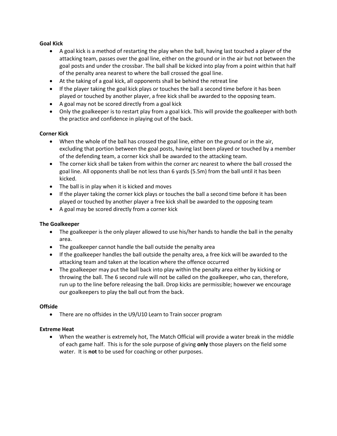# **Goal Kick**

- A goal kick is a method of restarting the play when the ball, having last touched a player of the attacking team, passes over the goal line, either on the ground or in the air but not between the goal posts and under the crossbar. The ball shall be kicked into play from a point within that half of the penalty area nearest to where the ball crossed the goal line.
- At the taking of a goal kick, all opponents shall be behind the retreat line
- If the player taking the goal kick plays or touches the ball a second time before it has been played or touched by another player, a free kick shall be awarded to the opposing team.
- A goal may not be scored directly from a goal kick
- Only the goalkeeper is to restart play from a goal kick. This will provide the goalkeeper with both the practice and confidence in playing out of the back.

# **Corner Kick**

- When the whole of the ball has crossed the goal line, either on the ground or in the air, excluding that portion between the goal posts, having last been played or touched by a member of the defending team, a corner kick shall be awarded to the attacking team.
- The corner kick shall be taken from within the corner arc nearest to where the ball crossed the goal line. All opponents shall be not less than 6 yards (5.5m) from the ball until it has been kicked.
- The ball is in play when it is kicked and moves
- If the player taking the corner kick plays or touches the ball a second time before it has been played or touched by another player a free kick shall be awarded to the opposing team
- A goal may be scored directly from a corner kick

# **The Goalkeeper**

- The goalkeeper is the only player allowed to use his/her hands to handle the ball in the penalty area.
- The goalkeeper cannot handle the ball outside the penalty area
- If the goalkeeper handles the ball outside the penalty area, a free kick will be awarded to the attacking team and taken at the location where the offence occurred
- The goalkeeper may put the ball back into play within the penalty area either by kicking or throwing the ball. The 6 second rule will not be called on the goalkeeper, who can, therefore, run up to the line before releasing the ball. Drop kicks are permissible; however we encourage our goalkeepers to play the ball out from the back.

#### **Offside**

• There are no offsides in the U9/U10 Learn to Train soccer program

#### **Extreme Heat**

• When the weather is extremely hot, The Match Official will provide a water break in the middle of each game half. This is for the sole purpose of giving **only** those players on the field some water. It is **not** to be used for coaching or other purposes.